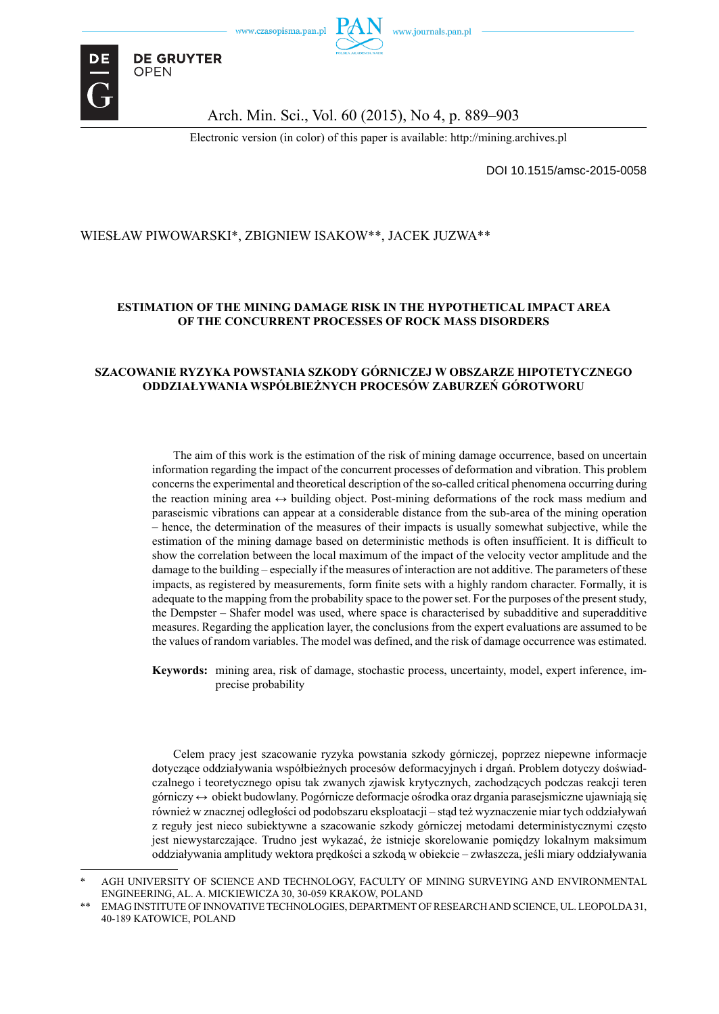



**DE GRUYTER** 

**OPEN** 

Arch. Min. Sci., Vol. 60 (2015), No 4, p. 889–903

Electronic version (in color) of this paper is available: http://mining.archives.pl

DOI 10.1515/amsc-2015-0058

### WIESŁAW PIWOWARSKI\*, ZBIGNIEW ISAKOW\*\*, JACEK JUZWA\*\*

### **ESTIMATION OF THE MINING DAMAGE RISK IN THE HYPOTHETICAL IMPACT AREA OF THE CONCURRENT PROCESSES OF ROCK MASS DISORDERS**

#### **SZACOWANIE RYZYKA POWSTANIA SZKODY GÓRNICZEJ W OBSZARZE HIPOTETYCZNEGO ODDZIAŁYWANIA WSPÓŁBIEŻNYCH PROCESÓW ZABURZEŃ GÓROTWORU**

The aim of this work is the estimation of the risk of mining damage occurrence, based on uncertain information regarding the impact of the concurrent processes of deformation and vibration. This problem concerns the experimental and theoretical description of the so-called critical phenomena occurring during the reaction mining area  $\leftrightarrow$  building object. Post-mining deformations of the rock mass medium and paraseismic vibrations can appear at a considerable distance from the sub-area of the mining operation – hence, the determination of the measures of their impacts is usually somewhat subjective, while the estimation of the mining damage based on deterministic methods is often insufficient. It is difficult to show the correlation between the local maximum of the impact of the velocity vector amplitude and the damage to the building – especially if the measures of interaction are not additive. The parameters of these impacts, as registered by measurements, form finite sets with a highly random character. Formally, it is adequate to the mapping from the probability space to the power set. For the purposes of the present study, the Dempster – Shafer model was used, where space is characterised by subadditive and superadditive measures. Regarding the application layer, the conclusions from the expert evaluations are assumed to be the values of random variables. The model was defined, and the risk of damage occurrence was estimated.

Keywords: mining area, risk of damage, stochastic process, uncertainty, model, expert inference, imprecise probability

Celem pracy jest szacowanie ryzyka powstania szkody górniczej, poprzez niepewne informacje dotyczące oddziaływania współbieżnych procesów deformacyjnych i drgań. Problem dotyczy doświadczalnego i teoretycznego opisu tak zwanych zjawisk krytycznych, zachodzących podczas reakcji teren górniczy ↔ obiekt budowlany. Pogórnicze deformacje ośrodka oraz drgania parasejsmiczne ujawniają się również w znacznej odległości od podobszaru eksploatacji – stąd też wyznaczenie miar tych oddziaływań z reguły jest nieco subiektywne a szacowanie szkody górniczej metodami deterministycznymi często jest niewystarczające. Trudno jest wykazać, że istnieje skorelowanie pomiędzy lokalnym maksimum oddziaływania amplitudy wektora prędkości a szkodą w obiekcie – zwłaszcza, jeśli miary oddziaływania

AGH UNIVERSITY OF SCIENCE AND TECHNOLOGY, FACULTY OF MINING SURVEYING AND ENVIRONMENTAL ENGINEERING, AL. A. MICKIEWICZA 30, 30-059 KRAKOW, POLAND

<sup>\*\*</sup> EMAG INSTITUTE OF INNOVATIVE TECHNOLOGIES, DEPARTMENT OF RESEARCH AND SCIENCE, UL. LEOPOLDA 31, 40-189 KATOWICE, POLAND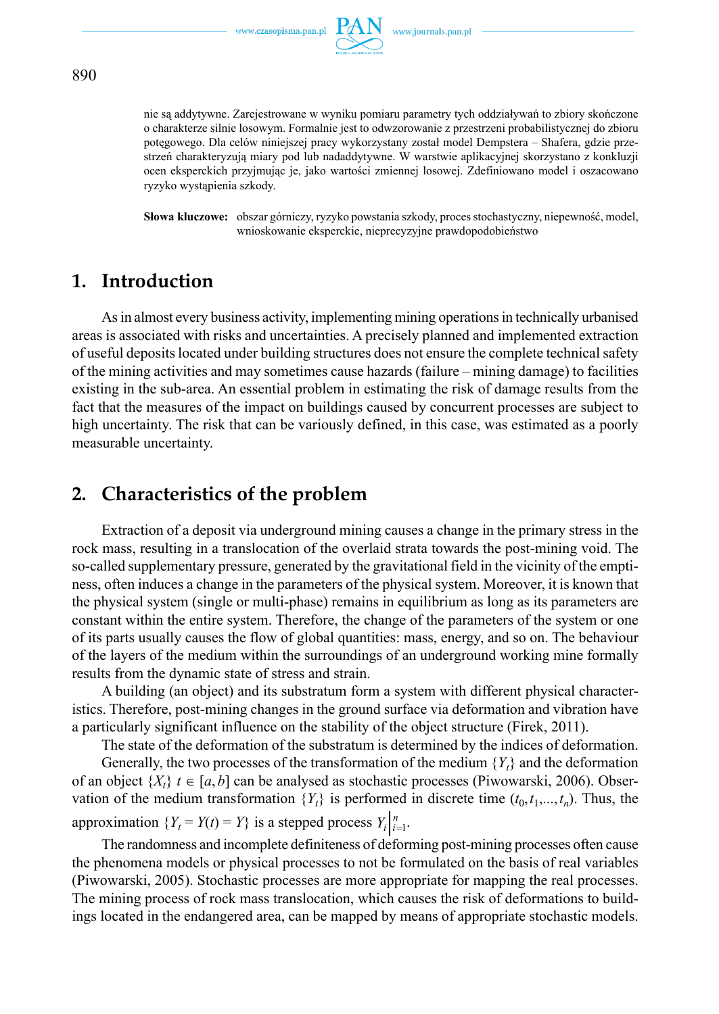

nie są addytywne. Zarejestrowane w wyniku pomiaru parametry tych oddziaływań to zbiory skończone o charakterze silnie losowym. Formalnie jest to odwzorowanie z przestrzeni probabilistycznej do zbioru potęgowego. Dla celów niniejszej pracy wykorzystany został model Dempstera – Shafera, gdzie przestrzeń charakteryzują miary pod lub nadaddytywne. W warstwie aplikacyjnej skorzystano z konkluzji ocen eksperckich przyjmując je, jako wartości zmiennej losowej. Zdefiniowano model i oszacowano ryzyko wystąpienia szkody.

**Słowa kluczowe:** obszar górniczy, ryzyko powstania szkody, proces stochastyczny, niepewność, model, wnioskowanie eksperckie, nieprecyzyjne prawdopodobieństwo

## **1. Introduction**

As in almost every business activity, implementing mining operations in technically urbanised areas is associated with risks and uncertainties. A precisely planned and implemented extraction of useful deposits located under building structures does not ensure the complete technical safety of the mining activities and may sometimes cause hazards (failure – mining damage) to facilities existing in the sub-area. An essential problem in estimating the risk of damage results from the fact that the measures of the impact on buildings caused by concurrent processes are subject to high uncertainty. The risk that can be variously defined, in this case, was estimated as a poorly measurable uncertainty.

## **2. Characteristics of the problem**

Extraction of a deposit via underground mining causes a change in the primary stress in the rock mass, resulting in a translocation of the overlaid strata towards the post-mining void. The so-called supplementary pressure, generated by the gravitational field in the vicinity of the emptiness, often induces a change in the parameters of the physical system. Moreover, it is known that the physical system (single or multi-phase) remains in equilibrium as long as its parameters are constant within the entire system. Therefore, the change of the parameters of the system or one of its parts usually causes the flow of global quantities: mass, energy, and so on. The behaviour of the layers of the medium within the surroundings of an underground working mine formally results from the dynamic state of stress and strain.

A building (an object) and its substratum form a system with different physical characteristics. Therefore, post-mining changes in the ground surface via deformation and vibration have a particularly significant influence on the stability of the object structure (Firek, 2011).

The state of the deformation of the substratum is determined by the indices of deformation.

Generally, the two processes of the transformation of the medium  ${Y_t}$  and the deformation of an object  $\{X_t\}$   $t \in [a, b]$  can be analysed as stochastic processes (Piwowarski, 2006). Observation of the medium transformation  ${Y_t}$  is performed in discrete time  $(t_0, t_1, \ldots, t_n)$ . Thus, the approximation  ${Y_t = Y(t) = Y}$  is a stepped process  $Y_t \big|_{t=1}^n$ .

The randomness and incomplete definiteness of deforming post-mining processes often cause the phenomena models or physical processes to not be formulated on the basis of real variables (Piwowarski, 2005). Stochastic processes are more appropriate for mapping the real processes. The mining process of rock mass translocation, which causes the risk of deformations to buildings located in the endangered area, can be mapped by means of appropriate stochastic models.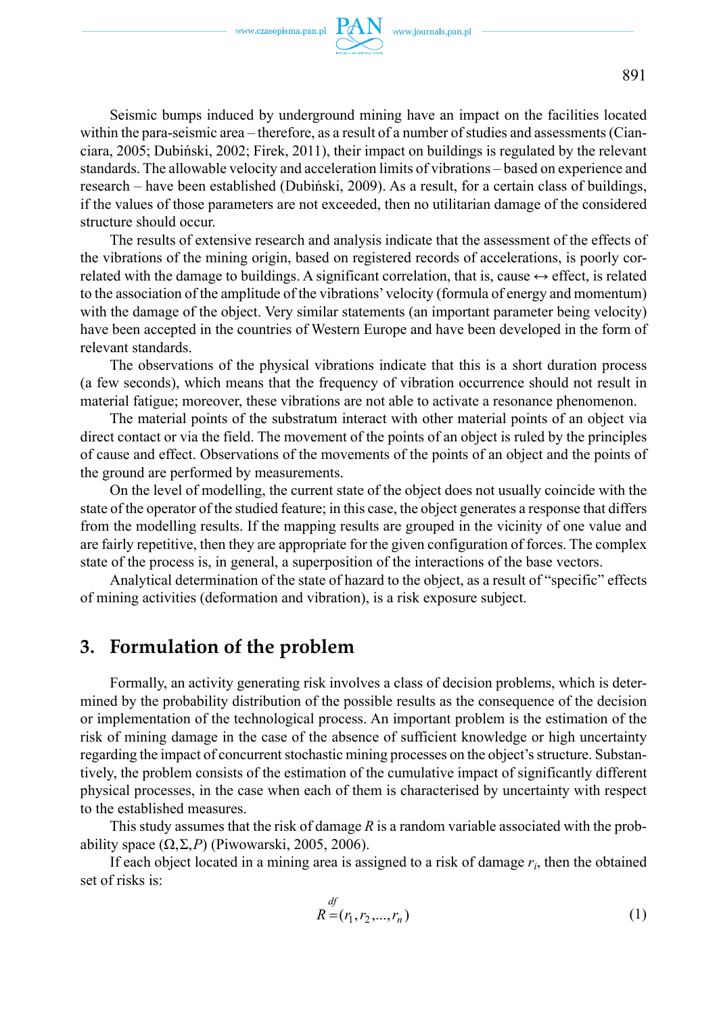

Seismic bumps induced by underground mining have an impact on the facilities located within the para-seismic area – therefore, as a result of a number of studies and assessments (Cianciara, 2005; Dubiński, 2002; Firek, 2011), their impact on buildings is regulated by the relevant standards. The allowable velocity and acceleration limits of vibrations – based on experience and research – have been established (Dubiński, 2009). As a result, for a certain class of buildings, if the values of those parameters are not exceeded, then no utilitarian damage of the considered structure should occur.

The results of extensive research and analysis indicate that the assessment of the effects of the vibrations of the mining origin, based on registered records of accelerations, is poorly correlated with the damage to buildings. A significant correlation, that is, cause  $\leftrightarrow$  effect, is related to the association of the amplitude of the vibrations' velocity (formula of energy and momentum) with the damage of the object. Very similar statements (an important parameter being velocity) have been accepted in the countries of Western Europe and have been developed in the form of relevant standards.

The observations of the physical vibrations indicate that this is a short duration process (a few seconds), which means that the frequency of vibration occurrence should not result in material fatigue; moreover, these vibrations are not able to activate a resonance phenomenon.

The material points of the substratum interact with other material points of an object via direct contact or via the field. The movement of the points of an object is ruled by the principles of cause and effect. Observations of the movements of the points of an object and the points of the ground are performed by measurements.

On the level of modelling, the current state of the object does not usually coincide with the state of the operator of the studied feature; in this case, the object generates a response that differs from the modelling results. If the mapping results are grouped in the vicinity of one value and are fairly repetitive, then they are appropriate for the given configuration of forces. The complex state of the process is, in general, a superposition of the interactions of the base vectors.

Analytical determination of the state of hazard to the object, as a result of "specific" effects of mining activities (deformation and vibration), is a risk exposure subject.

## **3. Formulation of the problem**

Formally, an activity generating risk involves a class of decision problems, which is determined by the probability distribution of the possible results as the consequence of the decision or implementation of the technological process. An important problem is the estimation of the risk of mining damage in the case of the absence of sufficient knowledge or high uncertainty regarding the impact of concurrent stochastic mining processes on the object's structure. Substantively, the problem consists of the estimation of the cumulative impact of significantly different physical processes, in the case when each of them is characterised by uncertainty with respect to the established measures.

This study assumes that the risk of damage *R* is a random variable associated with the probability space (Ω,Σ,*P*) (Piwowarski, 2005, 2006).

If each object located in a mining area is assigned to a risk of damage *ri* , then the obtained set of risks is:

$$
R^{\text{df}} = (r_1, r_2, \dots, r_n) \tag{1}
$$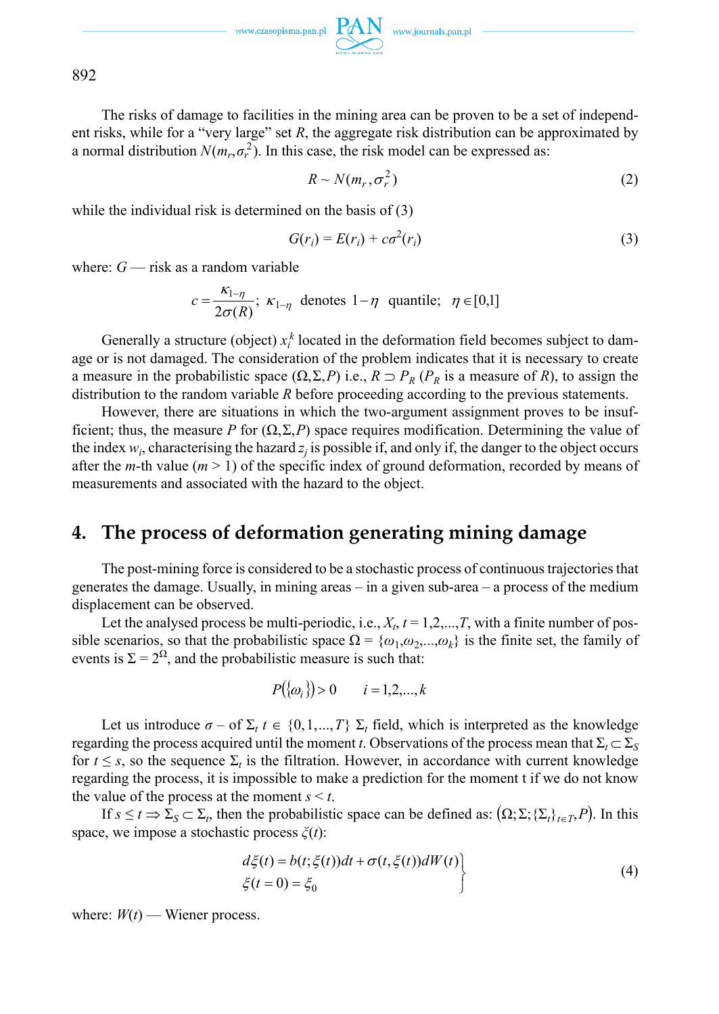The risks of damage to facilities in the mining area can be proven to be a set of independent risks, while for a "very large" set *R*, the aggregate risk distribution can be approximated by a normal distribution  $N(m_r, \sigma_r^2)$ . In this case, the risk model can be expressed as:

$$
R \sim N(m_r, \sigma_r^2) \tag{2}
$$

while the individual risk is determined on the basis of (3)

$$
G(r_i) = E(r_i) + c\sigma^2(r_i)
$$
\n(3)

where: *G* — risk as a random variable

$$
c = \frac{\kappa_{1-\eta}}{2\sigma(R)}; \ \kappa_{1-\eta} \ \text{ denotes } 1-\eta \ \text{ quantile}; \ \ \eta \in [0,1]
$$

Generally a structure (object)  $x_i^k$  located in the deformation field becomes subject to damage or is not damaged. The consideration of the problem indicates that it is necessary to create a measure in the probabilistic space  $(\Omega, \Sigma, P)$  i.e.,  $R \supset P_R$  ( $P_R$  is a measure of *R*), to assign the distribution to the random variable *R* before proceeding according to the previous statements.

However, there are situations in which the two-argument assignment proves to be insufficient; thus, the measure *P* for  $(\Omega, \Sigma, P)$  space requires modification. Determining the value of the index  $w_i$ , characterising the hazard  $z_j$  is possible if, and only if, the danger to the object occurs after the *m*-th value  $(m > 1)$  of the specific index of ground deformation, recorded by means of measurements and associated with the hazard to the object.

## **4. The process of deformation generating mining damage**

The post-mining force is considered to be a stochastic process of continuous trajectories that generates the damage. Usually, in mining areas – in a given sub-area – a process of the medium displacement can be observed.

Let the analysed process be multi-periodic, i.e.,  $X_t$ ,  $t = 1, 2, ..., T$ , with a finite number of possible scenarios, so that the probabilistic space  $\Omega = \{\omega_1, \omega_2, ..., \omega_k\}$  is the finite set, the family of events is  $\Sigma = 2^{\Omega}$ , and the probabilistic measure is such that:

$$
P(\{\omega_i\}) > 0 \qquad i = 1, 2, \dots, k
$$

Let us introduce  $\sigma$  – of  $\Sigma_t$  *t*  $\in \{0,1,...,T\}$   $\Sigma_t$  field, which is interpreted as the knowledge regarding the process acquired until the moment *t*. Observations of the process mean that  $\Sigma_t \subset \Sigma_s$ for  $t \leq s$ , so the sequence  $\Sigma_t$  is the filtration. However, in accordance with current knowledge regarding the process, it is impossible to make a prediction for the moment t if we do not know the value of the process at the moment  $s \leq t$ .

If  $s \le t \Rightarrow \sum_{S} \subset \sum_{t}$ , then the probabilistic space can be defined as:  $(\Omega; \Sigma; {\{\Sigma_t\}}_{t \in T}, P)$ . In this space, we impose a stochastic process *ξ*(*t*):

$$
d\xi(t) = b(t; \xi(t))dt + \sigma(t, \xi(t))dW(t)
$$
  
\n
$$
\xi(t = 0) = \xi_0
$$
\n(4)

where:  $W(t)$  — Wiener process.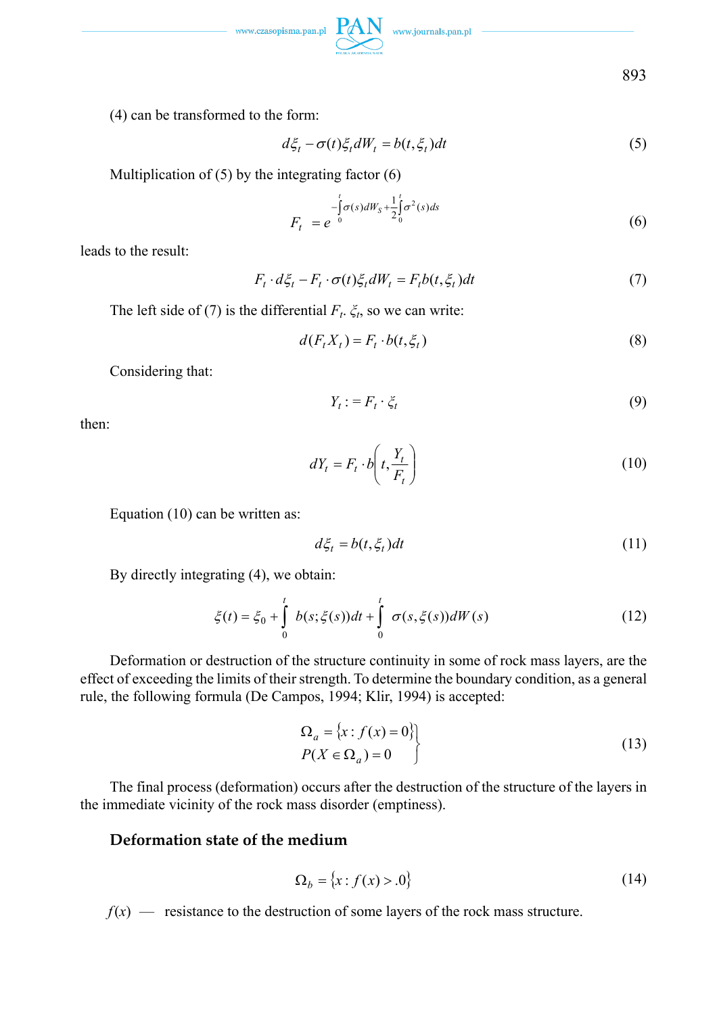

(4) can be transformed to the form:

$$
d\xi_t - \sigma(t)\xi_t dW_t = b(t, \xi_t)dt
$$
\n(5)

Multiplication of  $(5)$  by the integrating factor  $(6)$ 

$$
F_t = e^{-\int_0^t \sigma(s)dW_s + \frac{1}{2}\int_0^t \sigma^2(s)ds}
$$
\n(6)

leads to the result:

$$
F_t \cdot d\xi_t - F_t \cdot \sigma(t)\xi_t dW_t = F_t b(t, \xi_t) dt \tag{7}
$$

The left side of (7) is the differential  $F_t$ .  $\xi_t$ , so we can write:

$$
d(F_t X_t) = F_t \cdot b(t, \xi_t)
$$
\n<sup>(8)</sup>

Considering that:

$$
Y_t := F_t \cdot \xi_t \tag{9}
$$

then:

$$
dY_t = F_t \cdot b\left(t, \frac{Y_t}{F_t}\right) \tag{10}
$$

Equation (10) can be written as:

$$
d\xi_t = b(t, \xi_t)dt\tag{11}
$$

By directly integrating (4), we obtain:

$$
\xi(t) = \xi_0 + \int_0^t b(s; \xi(s))dt + \int_0^t \sigma(s, \xi(s))dW(s)
$$
 (12)

Deformation or destruction of the structure continuity in some of rock mass layers, are the effect of exceeding the limits of their strength. To determine the boundary condition, as a general rule, the following formula (De Campos, 1994; Klir, 1994) is accepted:

$$
\Omega_a = \{x : f(x) = 0\}
$$
  

$$
P(X \in \Omega_a) = 0
$$
 (13)

The final process (deformation) occurs after the destruction of the structure of the layers in the immediate vicinity of the rock mass disorder (emptiness).

### **Deformation state of the medium**

$$
\Omega_b = \{x : f(x) > 0\} \tag{14}
$$

 $f(x)$  — resistance to the destruction of some layers of the rock mass structure.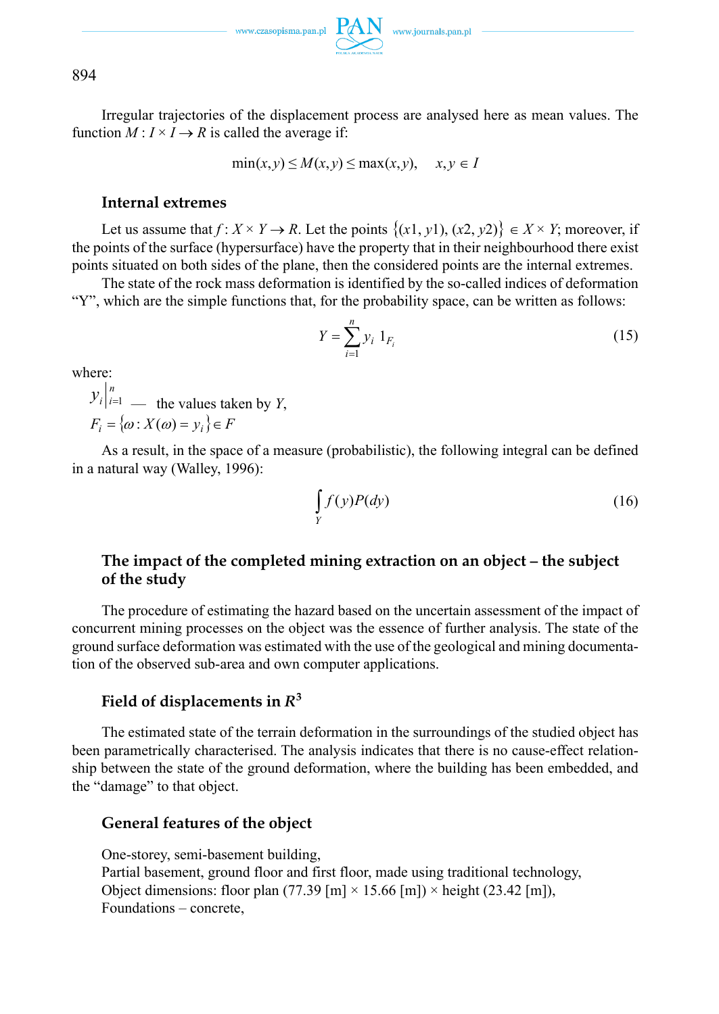$\text{www.czasopisma.pan.pl}\ \overbrace{\text{PAN}}\ \ \text{www.journals.pan.pl}$ 

894

Irregular trajectories of the displacement process are analysed here as mean values. The function  $M: I \times I \rightarrow R$  is called the average if:

$$
\min(x, y) \le M(x, y) \le \max(x, y), \quad x, y \in I
$$

### **Internal extremes**

Let us assume that  $f: X \times Y \to R$ . Let the points  $\{(x_1, y_1), (x_2, y_2)\}\in X \times Y$ ; moreover, if the points of the surface (hypersurface) have the property that in their neighbourhood there exist points situated on both sides of the plane, then the considered points are the internal extremes.

The state of the rock mass deformation is identified by the so-called indices of deformation "Y", which are the simple functions that, for the probability space, can be written as follows:

$$
Y = \sum_{i=1}^{n} y_i \, 1_{F_i} \tag{15}
$$

where:

 $y_i|_{i=1}^n$  — the values taken by *Y*,  $F_i = \{\omega : X(\omega) = v_i\} \in F$ 

As a result, in the space of a measure (probabilistic), the following integral can be defined in a natural way (Walley, 1996):

$$
\int\limits_Y f(y)P(dy) \tag{16}
$$

### **The impact of the completed mining extraction on an object – the subject of the study**

The procedure of estimating the hazard based on the uncertain assessment of the impact of concurrent mining processes on the object was the essence of further analysis. The state of the ground surface deformation was estimated with the use of the geological and mining documentation of the observed sub-area and own computer applications.

## Field of displacements in  $R^3$

The estimated state of the terrain deformation in the surroundings of the studied object has been parametrically characterised. The analysis indicates that there is no cause-effect relationship between the state of the ground deformation, where the building has been embedded, and the "damage" to that object.

### **General features of the object**

One-storey, semi-basement building, Partial basement, ground floor and first floor, made using traditional technology, Object dimensions: floor plan (77.39 [m]  $\times$  15.66 [m])  $\times$  height (23.42 [m]), Foundations – concrete,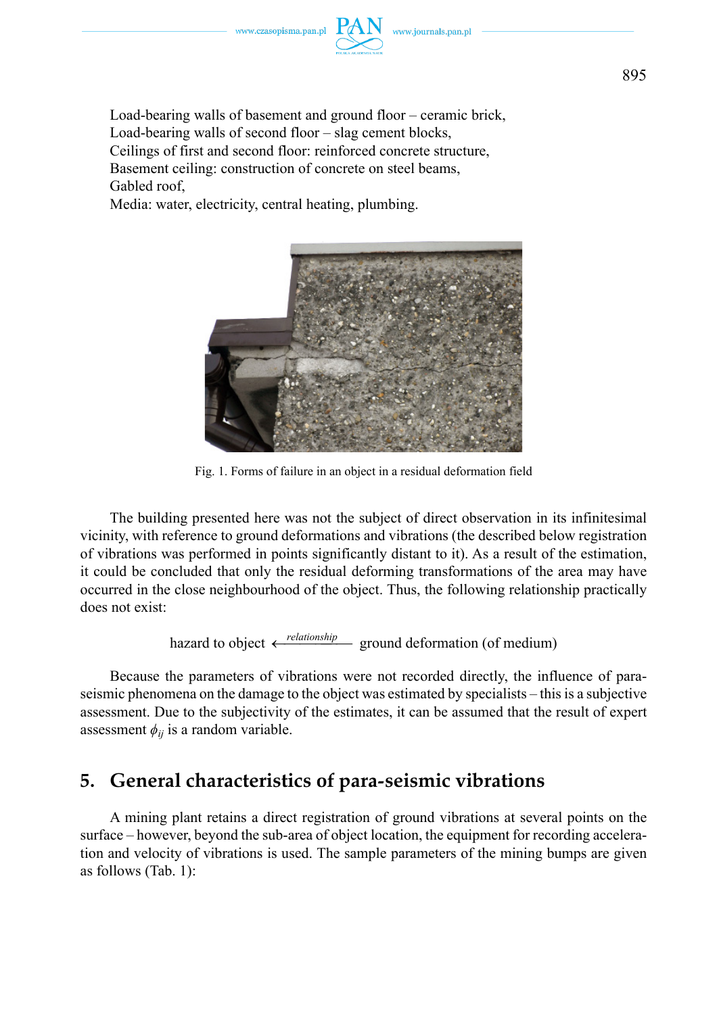

Load-bearing walls of basement and ground floor – ceramic brick, Load-bearing walls of second floor – slag cement blocks, Ceilings of first and second floor: reinforced concrete structure, Basement ceiling: construction of concrete on steel beams, Gabled roof,

Media: water, electricity, central heating, plumbing.



Fig. 1. Forms of failure in an object in a residual deformation field

The building presented here was not the subject of direct observation in its infinitesimal vicinity, with reference to ground deformations and vibrations (the described below registration of vibrations was performed in points significantly distant to it). As a result of the estimation, it could be concluded that only the residual deforming transformations of the area may have occurred in the close neighbourhood of the object. Thus, the following relationship practically does not exist:

hazard to object  $\leftarrow$  *relationship* ground deformation (of medium)

Because the parameters of vibrations were not recorded directly, the influence of paraseismic phenomena on the damage to the object was estimated by specialists – this is a subjective assessment. Due to the subjectivity of the estimates, it can be assumed that the result of expert assessment  $\phi_{ij}$  is a random variable.

# **5. General characteristics of para-seismic vibrations**

A mining plant retains a direct registration of ground vibrations at several points on the surface – however, beyond the sub-area of object location, the equipment for recording acceleration and velocity of vibrations is used. The sample parameters of the mining bumps are given as follows (Tab. 1):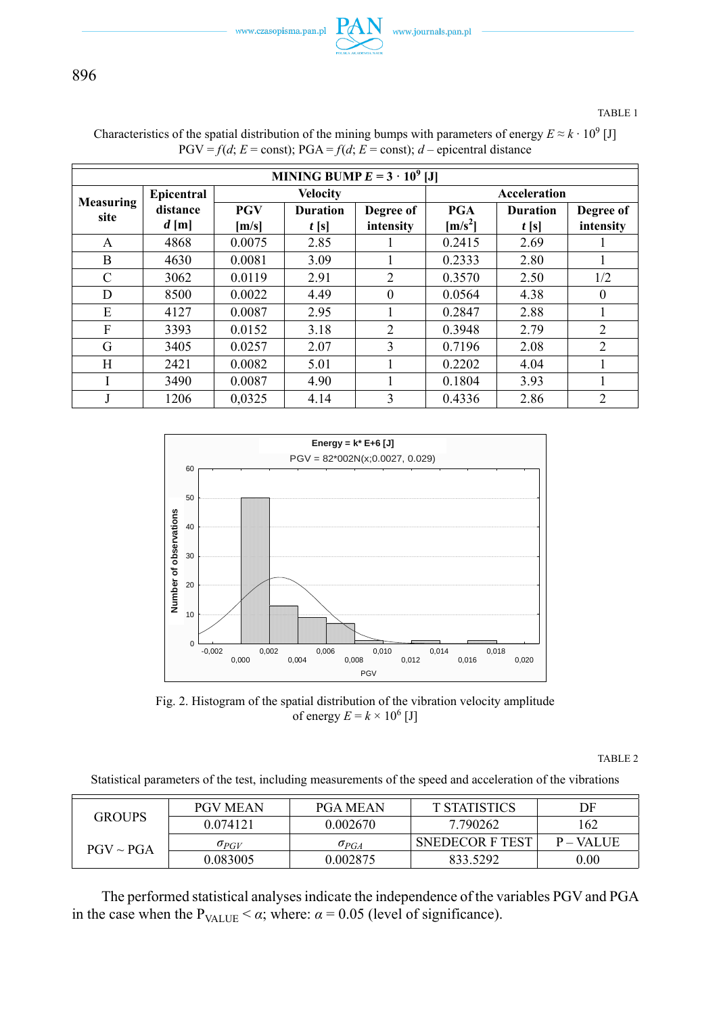www.czasopisma.pan.pl



896

TABLE 1

| MINING BUMP $E = 3 \cdot 10^9$ [J] |                   |            |                 |                |                    |                 |                |  |  |
|------------------------------------|-------------------|------------|-----------------|----------------|--------------------|-----------------|----------------|--|--|
| Measuring                          | <b>Epicentral</b> |            | <b>Velocity</b> |                | Acceleration       |                 |                |  |  |
| site                               | distance          | <b>PGV</b> | <b>Duration</b> | Degree of      | PGA                | <b>Duration</b> | Degree of      |  |  |
|                                    | $d$ [m]           | [m/s]      | t[s]            | intensity      | $\mathrm{[m/s^2]}$ | t[s]            | intensity      |  |  |
| A                                  | 4868              | 0.0075     | 2.85            |                | 0.2415             | 2.69            |                |  |  |
| B                                  | 4630              | 0.0081     | 3.09            |                | 0.2333             | 2.80            |                |  |  |
| C                                  | 3062              | 0.0119     | 2.91            | $\overline{2}$ | 0.3570             | 2.50            | 1/2            |  |  |
| D                                  | 8500              | 0.0022     | 4.49            | $\theta$       | 0.0564             | 4.38            | $\theta$       |  |  |
| E                                  | 4127              | 0.0087     | 2.95            |                | 0.2847             | 2.88            |                |  |  |
| F                                  | 3393              | 0.0152     | 3.18            | $\overline{2}$ | 0.3948             | 2.79            | 2              |  |  |
| G                                  | 3405              | 0.0257     | 2.07            | 3              | 0.7196             | 2.08            | $\overline{c}$ |  |  |
| H                                  | 2421              | 0.0082     | 5.01            |                | 0.2202             | 4.04            |                |  |  |
| I                                  | 3490              | 0.0087     | 4.90            |                | 0.1804             | 3.93            |                |  |  |
|                                    | 1206              | 0.0325     | 4.14            | 3              | 0.4336             | 2.86            | $\overline{c}$ |  |  |





Fig. 2. Histogram of the spatial distribution of the vibration velocity amplitude of energy  $E = k \times 10^6$  [J]

TABLE 2

Statistical parameters of the test, including measurements of the speed and acceleration of the vibrations

|                | <b>PGV MEAN</b> | <b>PGA MEAN</b> | T STATISTICS           | DF           |
|----------------|-----------------|-----------------|------------------------|--------------|
| GROUPS         | 0.074121        | 0.002670        | 7.790262               | 162          |
| $PGV \sim PGA$ | $\sigma_{PGV}$  | $\sigma_{PGA}$  | <b>SNEDECOR F TEST</b> | $P - VALIJE$ |
|                | 0.083005        | 0.002875        | 833.5292               | $0.00\,$     |

The performed statistical analyses indicate the independence of the variables PGV and PGA in the case when the  $P_{\text{VALUE}} < \alpha$ ; where:  $\alpha = 0.05$  (level of significance).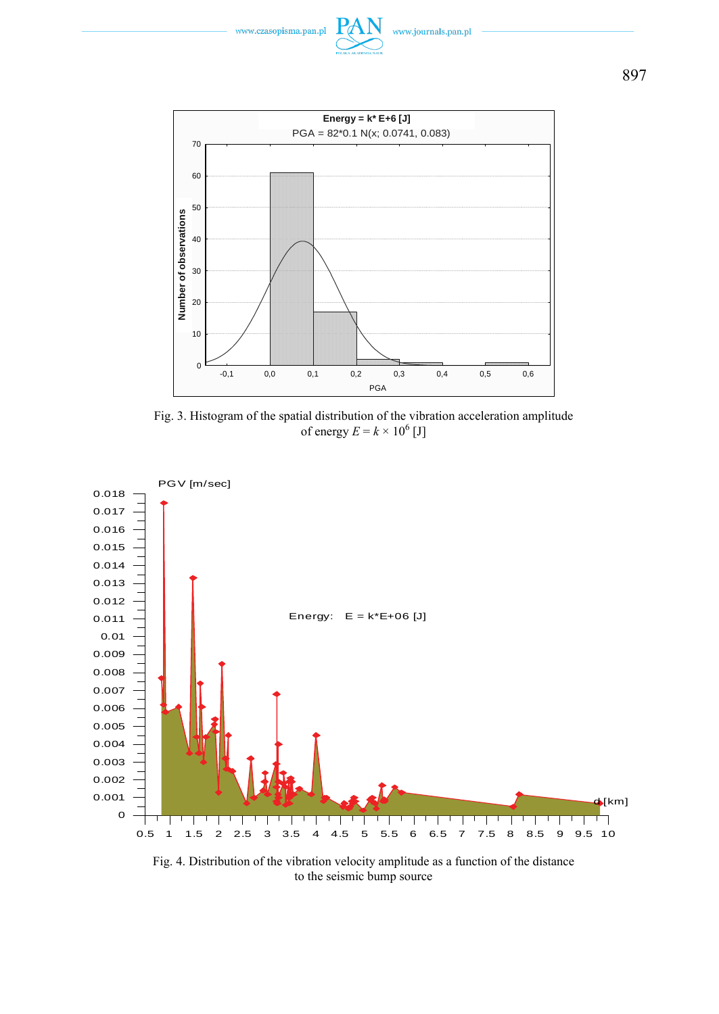



Fig. 3. Histogram of the spatial distribution of the vibration acceleration amplitude of energy  $E = k \times 10^6$  [J]



Fig. 4. Distribution of the vibration velocity amplitude as a function of the distance to the seismic bump source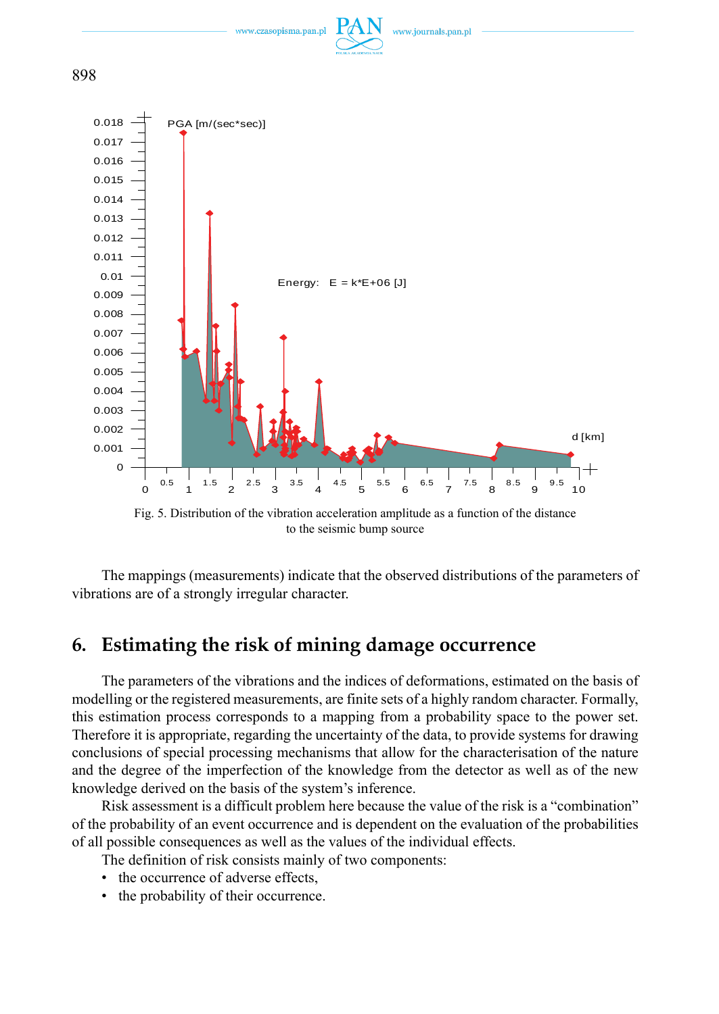





Fig. 5. Distribution of the vibration acceleration amplitude as a function of the distance to the seismic bump source

 $\begin{smallmatrix} &0.5&\t&1.5&\t&2&\t&3&\t&3.5&\t&4&\t&5&\t&5&\t&6&\t&7&\t&8&\t&9&\t&9&\t&10\end{smallmatrix}$ 

d [km]

The mappings (measurements) indicate that the observed distributions of the parameters of vibrations are of a strongly irregular character.

# **6. Estimating the risk of mining damage occurrence**

The parameters of the vibrations and the indices of deformations, estimated on the basis of modelling or the registered measurements, are finite sets of a highly random character. Formally, this estimation process corresponds to a mapping from a probability space to the power set. Therefore it is appropriate, regarding the uncertainty of the data, to provide systems for drawing conclusions of special processing mechanisms that allow for the characterisation of the nature and the degree of the imperfection of the knowledge from the detector as well as of the new knowledge derived on the basis of the system's inference.

Risk assessment is a difficult problem here because the value of the risk is a "combination" of the probability of an event occurrence and is dependent on the evaluation of the probabilities of all possible consequences as well as the values of the individual effects.

The definition of risk consists mainly of two components:

- the occurrence of adverse effects,
- the probability of their occurrence.

898

 $\Omega$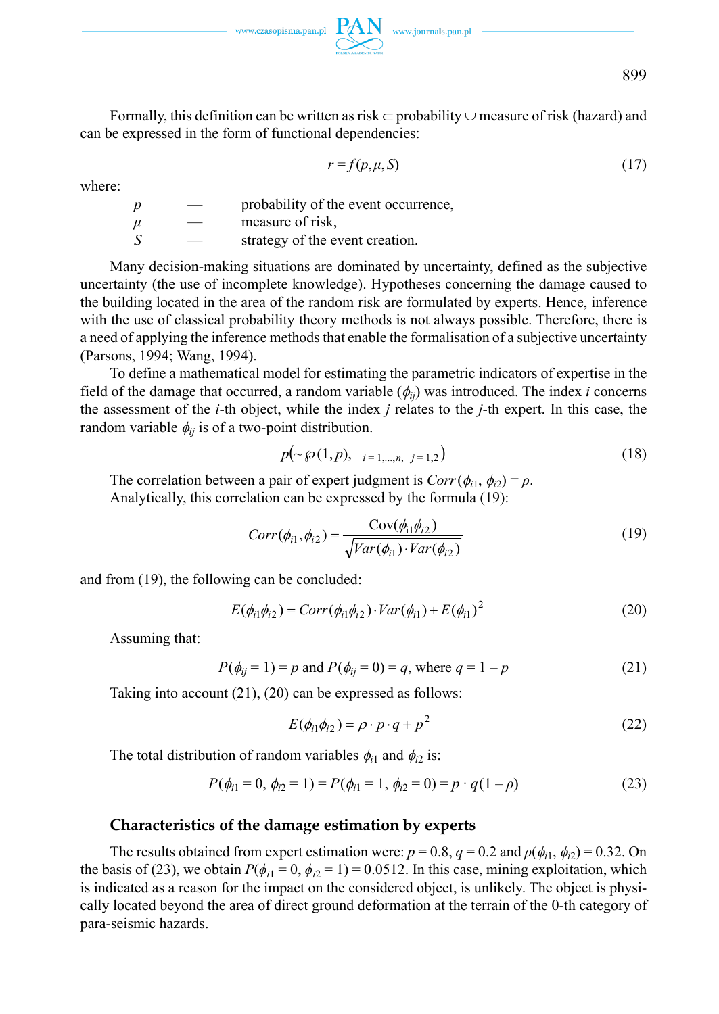

Formally, this definition can be written as risk  $\subset$  probability  $\cup$  measure of risk (hazard) and can be expressed in the form of functional dependencies:

$$
r = f(p, \mu, S) \tag{17}
$$

where:

| Ď | probability of the event occurrence, |
|---|--------------------------------------|
| и | measure of risk.                     |
| S | strategy of the event creation.      |

Many decision-making situations are dominated by uncertainty, defined as the subjective uncertainty (the use of incomplete knowledge). Hypotheses concerning the damage caused to the building located in the area of the random risk are formulated by experts. Hence, inference with the use of classical probability theory methods is not always possible. Therefore, there is a need of applying the inference methods that enable the formalisation of a subjective uncertainty (Parsons, 1994; Wang, 1994).

To define a mathematical model for estimating the parametric indicators of expertise in the field of the damage that occurred, a random variable  $(\phi_{ii})$  was introduced. The index *i* concerns the assessment of the *i*-th object, while the index *j* relates to the *j*-th expert. In this case, the random variable  $\phi_{ij}$  is of a two-point distribution.

$$
p(\sim \wp(1, p), \quad i = 1, \dots, n, \quad j = 1, 2)
$$
\n(18)

The correlation between a pair of expert judgment is  $Corr(\phi_{i1}, \phi_{i2}) = \rho$ . Analytically, this correlation can be expressed by the formula (19):

$$
Corr(\phi_{i1}, \phi_{i2}) = \frac{\text{Cov}(\phi_{i1}\phi_{i2})}{\sqrt{Var(\phi_{i1}) \cdot Var(\phi_{i2})}}
$$
(19)

and from (19), the following can be concluded:

$$
E(\phi_{i1}\phi_{i2}) = Corr(\phi_{i1}\phi_{i2}) \cdot Var(\phi_{i1}) + E(\phi_{i1})^2
$$
 (20)

Assuming that:

$$
P(\phi_{ij} = 1) = p
$$
 and  $P(\phi_{ij} = 0) = q$ , where  $q = 1 - p$  (21)

Taking into account (21), (20) can be expressed as follows:

$$
E(\phi_{i1}\phi_{i2}) = \rho \cdot p \cdot q + p^2 \tag{22}
$$

The total distribution of random variables  $\phi_{i1}$  and  $\phi_{i2}$  is:

$$
P(\phi_{i1} = 0, \phi_{i2} = 1) = P(\phi_{i1} = 1, \phi_{i2} = 0) = p \cdot q(1 - \rho)
$$
\n(23)

### **Characteristics of the damage estimation by experts**

The results obtained from expert estimation were:  $p = 0.8$ ,  $q = 0.2$  and  $\rho(\phi_{i1}, \phi_{i2}) = 0.32$ . On the basis of (23), we obtain  $P(\phi_{i1} = 0, \phi_{i2} = 1) = 0.0512$ . In this case, mining exploitation, which is indicated as a reason for the impact on the considered object, is unlikely. The object is physically located beyond the area of direct ground deformation at the terrain of the 0-th category of para-seismic hazards.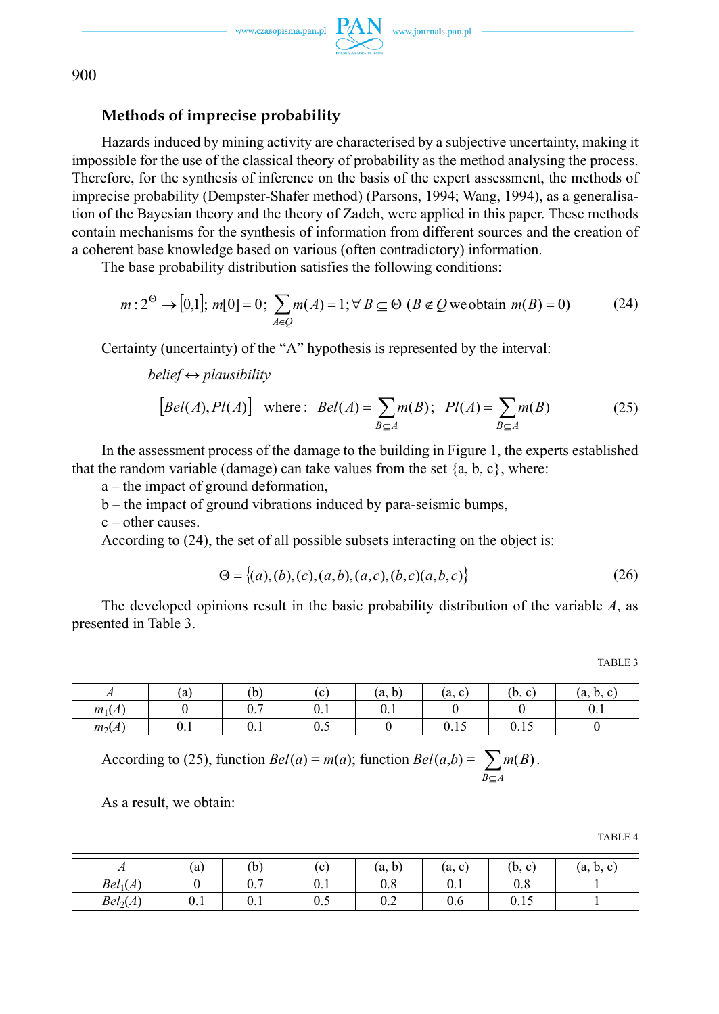

### **Methods of imprecise probability**

Hazards induced by mining activity are characterised by a subjective uncertainty, making it impossible for the use of the classical theory of probability as the method analysing the process. Therefore, for the synthesis of inference on the basis of the expert assessment, the methods of imprecise probability (Dempster-Shafer method) (Parsons, 1994; Wang, 1994), as a generalisation of the Bayesian theory and the theory of Zadeh, were applied in this paper. These methods contain mechanisms for the synthesis of information from different sources and the creation of a coherent base knowledge based on various (often contradictory) information.

The base probability distribution satisfies the following conditions:

$$
m: 2^{\Theta} \to [0,1]; m[0] = 0; \sum_{A \in \mathcal{Q}} m(A) = 1; \forall B \subseteq \Theta \ (B \notin \mathcal{Q} \text{ we obtain } m(B) = 0)
$$
 (24)

Certainty (uncertainty) of the "A" hypothesis is represented by the interval:

*belief ↔ plausibility*

$$
[Bel(A), Pl(A)] \quad \text{where:} \quad Bel(A) = \sum_{B \subseteq A} m(B); \quad Pl(A) = \sum_{B \subseteq A} m(B) \tag{25}
$$

In the assessment process of the damage to the building in Figure 1, the experts established that the random variable (damage) can take values from the set  $\{a, b, c\}$ , where:

a – the impact of ground deformation,

b – the impact of ground vibrations induced by para-seismic bumps,

c – other causes.

According to (24), the set of all possible subsets interacting on the object is:

$$
\Theta = \{(a), (b), (c), (a, b), (a, c), (b, c), (a, b, c)\}\tag{26}
$$

The developed opinions result in the basic probability distribution of the variable *A*, as presented in Table 3.

| <br>ъn |  |
|--------|--|
|--------|--|

| $\overline{ }$ | (a)  | (b` | $\mathbf{c}$ | <b>1 1</b><br>(a, b) | (a, c)                 | (b, c)                       | (a. b. |
|----------------|------|-----|--------------|----------------------|------------------------|------------------------------|--------|
| $m_1(A)$       |      | 0.7 | v. i         | V.I                  |                        |                              | v. L   |
| $m_2(A)$       | V. I | 0.1 | U.J          |                      | 1 <sub>c</sub><br>0.1J | $\sim$ $\sim$ $\sim$<br>0.1J |        |

According to (25), function *Bel*(*a*) = *m*(*a*); function *Bel*(*a*,*b*) =  $\sum_{B \subseteq A}$ *m*(*B*).

As a result, we obtain:

TABLE 4

| 71                   | (a) | (b)                  | (c) | $\rightarrow$<br>(a, b) | (a, c)        | (b, c) | (a, b, c) |
|----------------------|-----|----------------------|-----|-------------------------|---------------|--------|-----------|
| Bel <sub>1</sub> (A) |     | $\sim$ $\tau$<br>U.7 | 0.1 | 0.8                     | U.I           | 0.8    |           |
| Bel <sub>2</sub> (A) | U.I | 0.1                  | 0.5 | $\sim$<br>V.Z           | $\sim$<br>V.O | 0.15   |           |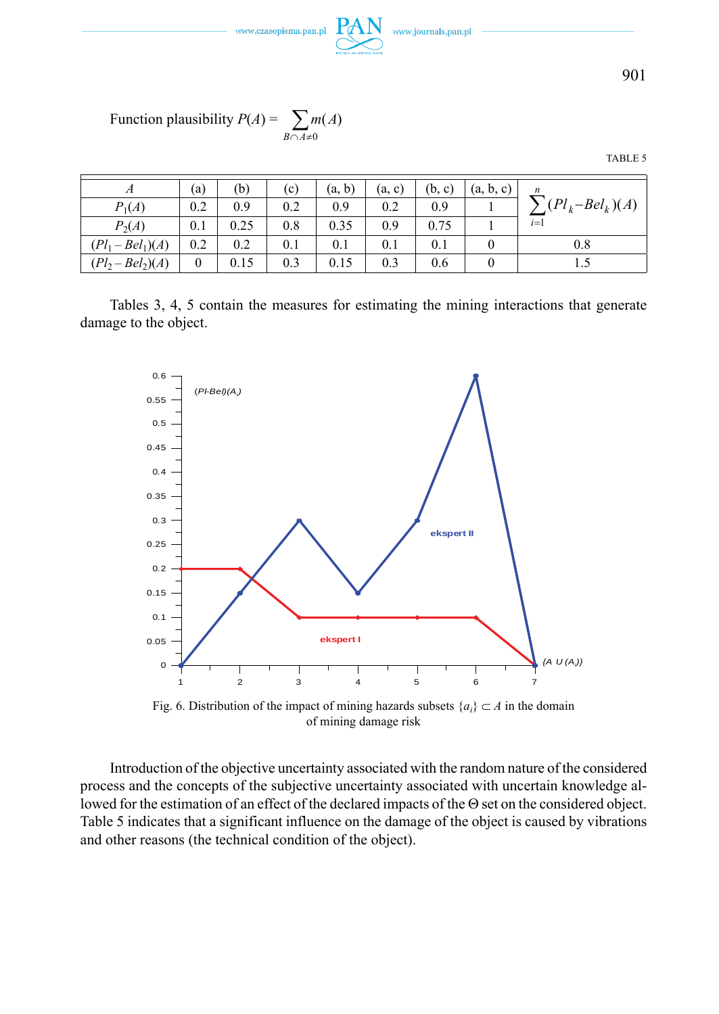



Function plausibility 
$$
P(A) = \sum_{B \cap A \neq 0} m(A)
$$

TABLE 5

| А                   | (a) | (b)  | (c) | (a, b) | (a, c) | (b, c) | (a, b, c) | $\boldsymbol{n}$  |
|---------------------|-----|------|-----|--------|--------|--------|-----------|-------------------|
| $P_1(A)$            | 0.2 | 0.9  | 0.2 | 0.9    | 0.2    | 0.9    |           | $(Pl_k–Bel_k)(A)$ |
| $P_2(A)$            | 0.1 | 0.25 | 0.8 | 0.35   | 0.9    | 0.75   |           | $i=1$             |
| $(Pl_1 - Bel_1)(A)$ | 0.2 | 0.2  | 0.1 | 0.1    | 0.1    | 0.1    |           | 0.8               |
| $(Pl_2 - Bel_2)(A)$ | 0   | 0.15 | 0.3 | 0.15   | 0.3    | 0.6    |           |                   |

Tables 3, 4, 5 contain the measures for estimating the mining interactions that generate damage to the object.



Fig. 6. Distribution of the impact of mining hazards subsets  $\{a_i\} \subset A$  in the domain of mining damage risk

Introduction of the objective uncertainty associated with the random nature of the considered process and the concepts of the subjective uncertainty associated with uncertain knowledge allowed for the estimation of an effect of the declared impacts of the Θ set on the considered object. Table 5 indicates that a significant influence on the damage of the object is caused by vibrations and other reasons (the technical condition of the object).

901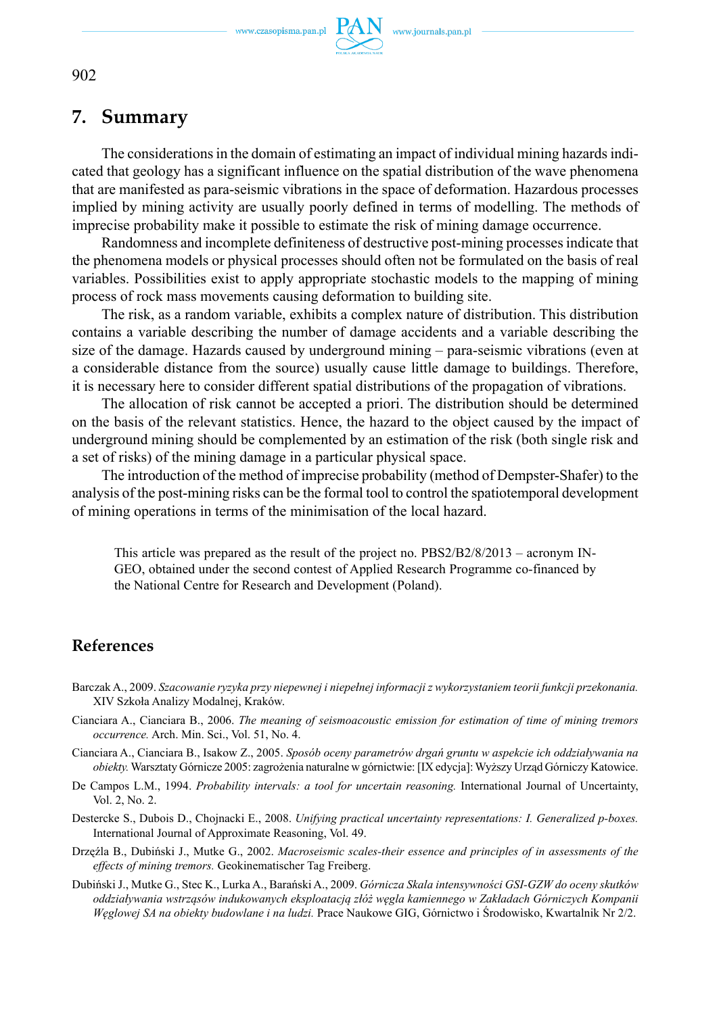www.czasopisma.pan.pl



## **7. Summary**

The considerations in the domain of estimating an impact of individual mining hazards indicated that geology has a significant influence on the spatial distribution of the wave phenomena that are manifested as para-seismic vibrations in the space of deformation. Hazardous processes implied by mining activity are usually poorly defined in terms of modelling. The methods of imprecise probability make it possible to estimate the risk of mining damage occurrence.

Randomness and incomplete definiteness of destructive post-mining processes indicate that the phenomena models or physical processes should often not be formulated on the basis of real variables. Possibilities exist to apply appropriate stochastic models to the mapping of mining process of rock mass movements causing deformation to building site.

The risk, as a random variable, exhibits a complex nature of distribution. This distribution contains a variable describing the number of damage accidents and a variable describing the size of the damage. Hazards caused by underground mining – para-seismic vibrations (even at a considerable distance from the source) usually cause little damage to buildings. Therefore, it is necessary here to consider different spatial distributions of the propagation of vibrations.

The allocation of risk cannot be accepted a priori. The distribution should be determined on the basis of the relevant statistics. Hence, the hazard to the object caused by the impact of underground mining should be complemented by an estimation of the risk (both single risk and a set of risks) of the mining damage in a particular physical space.

The introduction of the method of imprecise probability (method of Dempster-Shafer) to the analysis of the post-mining risks can be the formal tool to control the spatiotemporal development of mining operations in terms of the minimisation of the local hazard.

This article was prepared as the result of the project no. PBS2/B2/8/2013 – acronym IN-GEO, obtained under the second contest of Applied Research Programme co-financed by the National Centre for Research and Development (Poland).

### **References**

- Barczak A., 2009. *Szacowanie ryzyka przy niepewnej i niepełnej informacji z wykorzystaniem teorii funkcji przekonania.*  XIV Szkoła Analizy Modalnej, Kraków.
- Cianciara A., Cianciara B., 2006. *The meaning of seismoacoustic emission for estimation of time of mining tremors occurrence.* Arch. Min. Sci., Vol. 51, No. 4.
- Cianciara A., Cianciara B., Isakow Z., 2005. *Sposób oceny parametrów drgań gruntu w aspekcie ich oddziaływania na obiekty.* Warsztaty Górnicze 2005: zagrożenia naturalne w górnictwie: [IX edycja]: Wyższy Urząd Górniczy Katowice.
- De Campos L.M., 1994. *Probability intervals: a tool for uncertain reasoning*. International Journal of Uncertainty, Vol. 2, No. 2.
- Destercke S., Dubois D., Chojnacki E., 2008. *Unifying practical uncertainty representations: I. Generalized p-boxes.*  International Journal of Approximate Reasoning, Vol. 49.
- Drzęźla B., Dubiński J., Mutke G., 2002. *Macroseismic scales-their essence and principles of in assessments of the effects of mining tremors.* Geokinematischer Tag Freiberg.
- Dubiński J., Mutke G., Stec K., Lurka A., Barański A., 2009. *Górnicza Skala intensywności GSI-GZW do oceny skutków oddziaływania wstrząsów indukowanych eksploatacją złóż węgla kamiennego w Zakładach Górniczych Kompanii Węglowej SA na obiekty budowlane i na ludzi.* Prace Naukowe GIG, Górnictwo i Środowisko, Kwartalnik Nr 2/2.